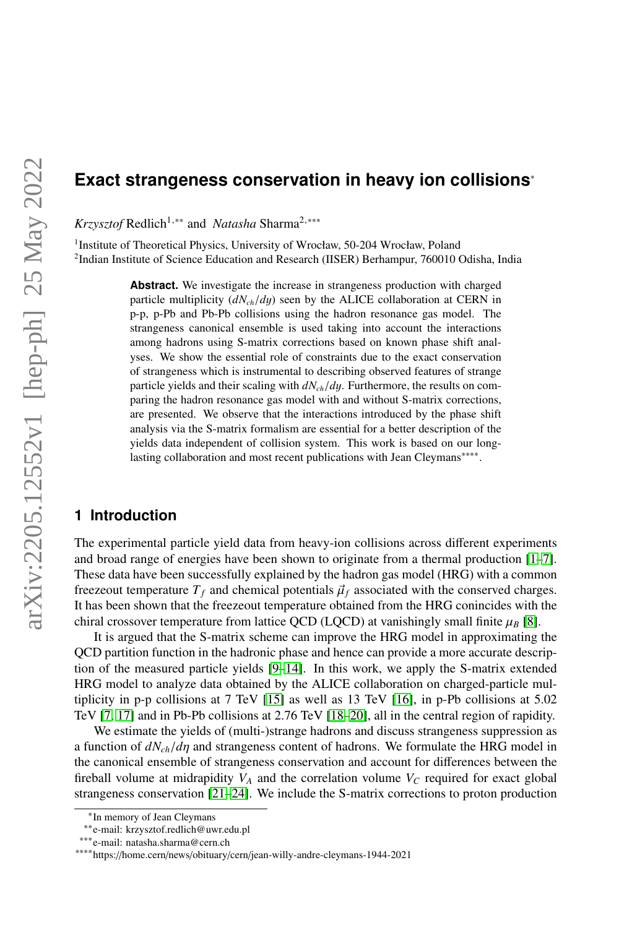# **Exact strangeness conservation in heavy ion collisions**<sup>∗</sup>

*Krzysztof* Redlich<sup>1,∗∗</sup> and *Natasha* Sharma<sup>2,</sup> \*\*\*

<sup>1</sup> Institute of Theoretical Physics, University of Wrocław, 50-204 Wrocław, Poland <sup>2</sup>Indian Institute of Science Education and Research (IISER) Berhampur, 760010 Odisha, India

> **Abstract.** We investigate the increase in strangeness production with charged particle multiplicity (*dNch*/*d*y) seen by the ALICE collaboration at CERN in p-p, p-Pb and Pb-Pb collisions using the hadron resonance gas model. The strangeness canonical ensemble is used taking into account the interactions among hadrons using S-matrix corrections based on known phase shift analyses. We show the essential role of constraints due to the exact conservation of strangeness which is instrumental to describing observed features of strange particle yields and their scaling with *dNch*/*d*y. Furthermore, the results on comparing the hadron resonance gas model with and without S-matrix corrections, are presented. We observe that the interactions introduced by the phase shift analysis via the S-matrix formalism are essential for a better description of the yields data independent of collision system. This work is based on our longlasting collaboration and most recent publications with Jean Cleymans<sup>∗∗∗∗</sup>.

# **1 Introduction**

The experimental particle yield data from heavy-ion collisions across different experiments and broad range of energies have been shown to originate from a thermal production  $[1-7]$  $[1-7]$ . These data have been successfully explained by the hadron gas model (HRG) with a common freezeout temperature  $T_f$  and chemical potentials  $\vec{\mu}_f$  associated with the conserved charges. It has been shown that the freezeout temperature obtained from the HRG conincides with the chiral crossover temperature from lattice QCD (LQCD) at vanishingly small finite  $\mu_B$  [\[8\]](#page-6-2).

It is argued that the S-matrix scheme can improve the HRG model in approximating the QCD partition function in the hadronic phase and hence can provide a more accurate description of the measured particle yields [\[9–](#page-6-3)[14\]](#page-6-4). In this work, we apply the S-matrix extended HRG model to analyze data obtained by the ALICE collaboration on charged-particle multiplicity in p-p collisions at 7 TeV [\[15\]](#page-6-5) as well as 13 TeV [\[16\]](#page-6-6), in p-Pb collisions at 5.02 TeV [\[7,](#page-6-1) [17\]](#page-6-7) and in Pb-Pb collisions at 2.76 TeV [\[18](#page-6-8)[–20\]](#page-6-9), all in the central region of rapidity.

We estimate the yields of (multi-)strange hadrons and discuss strangeness suppression as a function of *dNch*/*d*η and strangeness content of hadrons. We formulate the HRG model in the canonical ensemble of strangeness conservation and account for differences between the fireball volume at midrapidity  $V_A$  and the correlation volume  $V_C$  required for exact global strangeness conservation [\[21–](#page-6-10)[24\]](#page-6-11). We include the S-matrix corrections to proton production

<sup>∗</sup> In memory of Jean Cleymans

<sup>∗∗</sup>e-mail: krzysztof.redlich@uwr.edu.pl

<sup>∗∗∗</sup>e-mail: natasha.sharma@cern.ch

<sup>∗∗∗∗</sup>https://home.cern/news/obituary/cern/jean-willy-andre-cleymans-1944-2021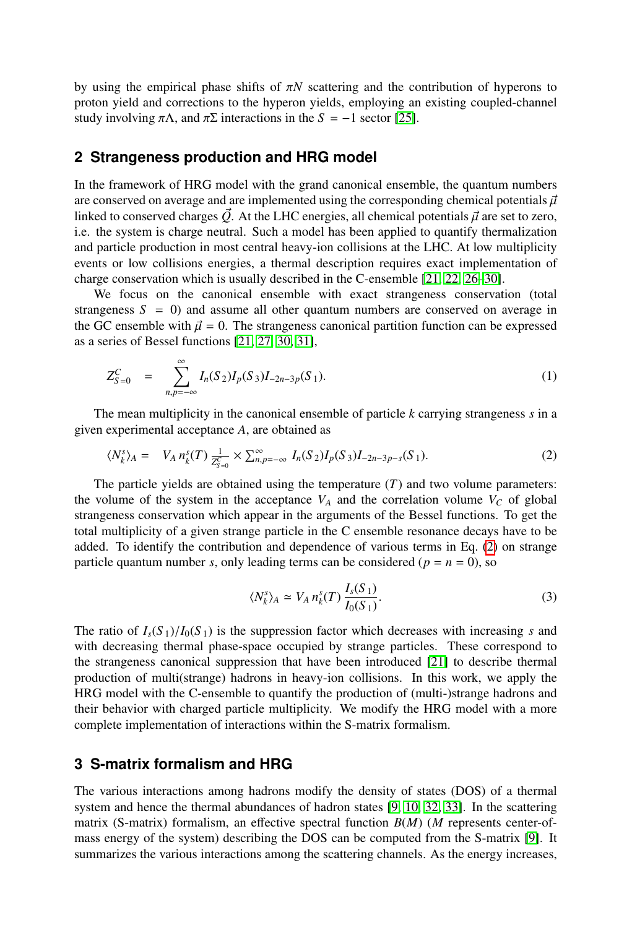by using the empirical phase shifts of  $\pi N$  scattering and the contribution of hyperons to proton yield and corrections to the hyperon yields, employing an existing coupled-channel study involving  $\pi\Lambda$ , and  $\pi\Sigma$  interactions in the  $S = -1$  sector [\[25\]](#page-6-12).

#### **2 Strangeness production and HRG model**

In the framework of HRG model with the grand canonical ensemble, the quantum numbers are conserved on average and are implemented using the corresponding chemical potentials  $\vec{\mu}$ linked to conserved charges  $\vec{Q}$ . At the LHC energies, all chemical potentials  $\vec{\mu}$  are set to zero, i.e. the system is charge neutral. Such a model has been applied to quantify thermalization and particle production in most central heavy-ion collisions at the LHC. At low multiplicity events or low collisions energies, a thermal description requires exact implementation of charge conservation which is usually described in the C-ensemble [\[21,](#page-6-10) [22,](#page-6-13) [26–](#page-6-14)[30\]](#page-6-15).

We focus on the canonical ensemble with exact strangeness conservation (total strangeness  $S = 0$ ) and assume all other quantum numbers are conserved on average in the GC ensemble with  $\vec{\mu} = 0$ . The strangeness canonical partition function can be expressed as a series of Bessel functions [\[21,](#page-6-10) [27,](#page-6-16) [30,](#page-6-15) [31\]](#page-6-17),

$$
Z_{S=0}^C = \sum_{n,p=-\infty}^{\infty} I_n(S_2) I_p(S_3) I_{-2n-3p}(S_1).
$$
 (1)

The mean multiplicity in the canonical ensemble of particle *k* carrying strangeness *s* in a given experimental acceptance *A*, are obtained as

<span id="page-1-0"></span>
$$
\langle N_k^s \rangle_A = V_A n_k^s(T) \frac{1}{Z_{S=0}^c} \times \sum_{n,p=-\infty}^{\infty} I_n(S_2) I_p(S_3) I_{-2n-3p-s}(S_1).
$$
 (2)

The particle yields are obtained using the temperature  $(T)$  and two volume parameters: the volume of the system in the acceptance  $V_A$  and the correlation volume  $V_C$  of global strangeness conservation which appear in the arguments of the Bessel functions. To get the total multiplicity of a given strange particle in the C ensemble resonance decays have to be added. To identify the contribution and dependence of various terms in Eq. [\(2\)](#page-1-0) on strange particle quantum number *s*, only leading terms can be considered ( $p = n = 0$ ), so

$$
\langle N_k^s \rangle_A \simeq V_A n_k^s(T) \frac{I_s(S_1)}{I_0(S_1)}.
$$
 (3)

The ratio of  $I_s(S_1)/I_0(S_1)$  is the suppression factor which decreases with increasing *s* and with decreasing thermal phase-space occupied by strange particles. These correspond to the strangeness canonical suppression that have been introduced [\[21\]](#page-6-10) to describe thermal production of multi(strange) hadrons in heavy-ion collisions. In this work, we apply the HRG model with the C-ensemble to quantify the production of (multi-)strange hadrons and their behavior with charged particle multiplicity. We modify the HRG model with a more complete implementation of interactions within the S-matrix formalism.

## **3 S-matrix formalism and HRG**

The various interactions among hadrons modify the density of states (DOS) of a thermal system and hence the thermal abundances of hadron states [\[9,](#page-6-3) [10,](#page-6-18) [32,](#page-7-0) [33\]](#page-7-1). In the scattering matrix (S-matrix) formalism, an effective spectral function *B*(*M*) (*M* represents center-ofmass energy of the system) describing the DOS can be computed from the S-matrix [\[9\]](#page-6-3). It summarizes the various interactions among the scattering channels. As the energy increases,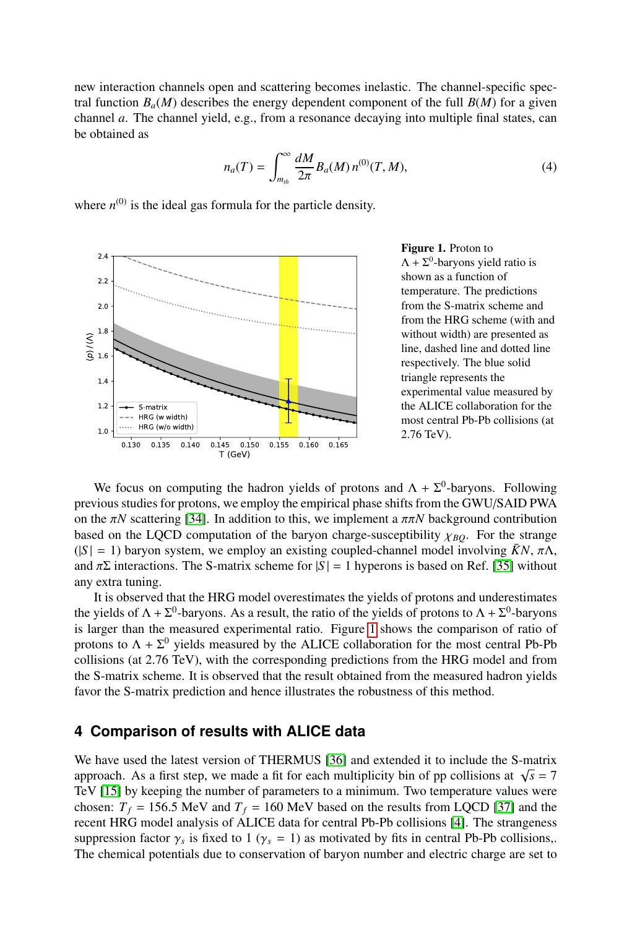new interaction channels open and scattering becomes inelastic. The channel-specific spectral function  $B_a(M)$  describes the energy dependent component of the full  $B(M)$  for a given channel *a*. The channel yield, e.g., from a resonance decaying into multiple final states, can be obtained as

$$
n_a(T) = \int_{m_{th}}^{\infty} \frac{dM}{2\pi} B_a(M) n^{(0)}(T, M), \tag{4}
$$

where  $n^{(0)}$  is the ideal gas formula for the particle density.



<span id="page-2-0"></span>Figure 1. Proton to  $\Lambda + \Sigma^0$ -baryons yield ratio is shown as a function of temperature. The predictions from the S-matrix scheme and from the HRG scheme (with and without width) are presented as line, dashed line and dotted line respectively. The blue solid triangle represents the experimental value measured by the ALICE collaboration for the most central Pb-Pb collisions (at <sup>2</sup>.76 TeV).

We focus on computing the hadron yields of protons and  $\Lambda + \Sigma^0$ -baryons. Following previous studies for protons, we employ the empirical phase shifts from the GWU/SAID PWA on the  $\pi N$  scattering [\[34\]](#page-7-2). In addition to this, we implement a  $\pi \pi N$  background contribution based on the LQCD computation of the baryon charge-susceptibility  $\chi_{BO}$ . For the strange  $(|S| = 1)$  baryon system, we employ an existing coupled-channel model involving  $\bar{K}N$ ,  $\pi\Lambda$ , and  $\pi\Sigma$  interactions. The S-matrix scheme for  $|S| = 1$  hyperons is based on Ref. [\[35\]](#page-7-3) without any extra tuning.

It is observed that the HRG model overestimates the yields of protons and underestimates the yields of  $\Lambda + \Sigma^0$ -baryons. As a result, the ratio of the yields of protons to  $\Lambda + \Sigma^0$ -baryons is larger than the measured experimental ratio. Figure [1](#page-2-0) shows the comparison of ratio of protons to  $\Lambda + \Sigma^0$  yields measured by the ALICE collaboration for the most central Pb-Pb collisions (at 2.76 TeV), with the corresponding predictions from the HRG model and from the S-matrix scheme. It is observed that the result obtained from the measured hadron yields favor the S-matrix prediction and hence illustrates the robustness of this method.

# **4 Comparison of results with ALICE data**

We have used the latest version of THERMUS [\[36\]](#page-7-4) and extended it to include the S-matrix we have used the fatest version of THERMOS [50] and extended it to include the S-matrix approach. As a first step, we made a fit for each multiplicity bin of pp collisions at  $\sqrt{s} = 7$ TeV [\[15\]](#page-6-5) by keeping the number of parameters to a minimum. Two temperature values were chosen:  $T_f = 156.5$  MeV and  $T_f = 160$  MeV based on the results from LQCD [\[37\]](#page-7-5) and the recent HRG model analysis of ALICE data for central Pb-Pb collisions [\[4\]](#page-6-19). The strangeness suppression factor  $\gamma_s$  is fixed to 1 ( $\gamma_s = 1$ ) as motivated by fits in central Pb-Pb collisions,.<br>The chemical potentials due to conservation of baryon number and electric charge are set to The chemical potentials due to conservation of baryon number and electric charge are set to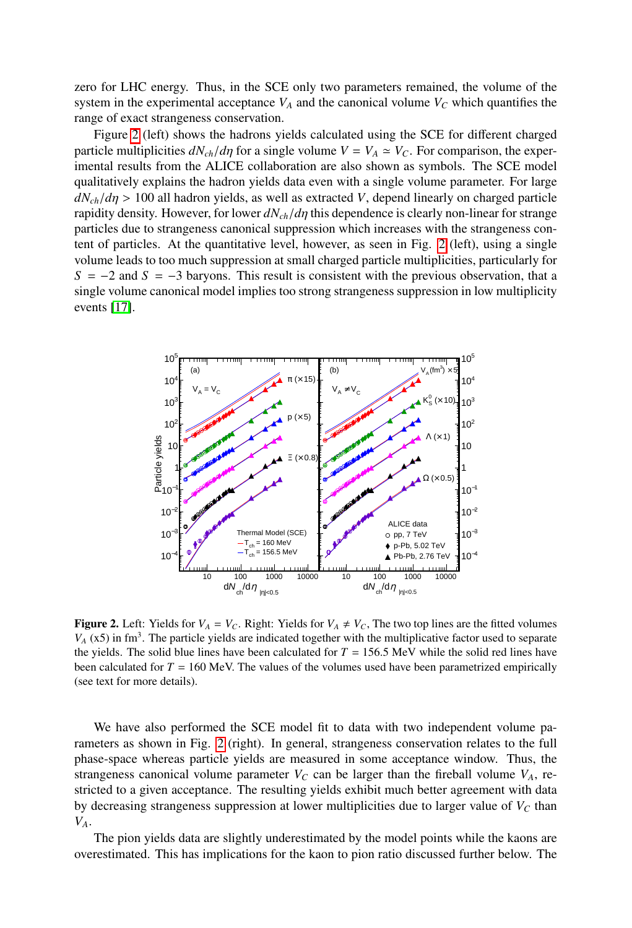zero for LHC energy. Thus, in the SCE only two parameters remained, the volume of the system in the experimental acceptance  $V_A$  and the canonical volume  $V_C$  which quantifies the range of exact strangeness conservation.

Figure [2](#page-3-0) (left) shows the hadrons yields calculated using the SCE for different charged particle multiplicities  $dN_{ch}/d\eta$  for a single volume  $V = V_A \simeq V_C$ . For comparison, the experimental results from the ALICE collaboration are also shown as symbols. The SCE model qualitatively explains the hadron yields data even with a single volume parameter. For large  $dN_{ch}/d\eta > 100$  all hadron yields, as well as extracted *V*, depend linearly on charged particle rapidity density. However, for lower *dNch*/*d*η this dependence is clearly non-linear for strange particles due to strangeness canonical suppression which increases with the strangeness content of particles. At the quantitative level, however, as seen in Fig. [2](#page-3-0) (left), using a single volume leads to too much suppression at small charged particle multiplicities, particularly for  $S = -2$  and  $S = -3$  baryons. This result is consistent with the previous observation, that a single volume canonical model implies too strong strangeness suppression in low multiplicity events [\[17\]](#page-6-7).



<span id="page-3-0"></span>**Figure 2.** Left: Yields for  $V_A = V_C$ . Right: Yields for  $V_A \neq V_C$ , The two top lines are the fitted volumes  $V_A$  (x5) in fm<sup>3</sup>. The particle yields are indicated together with the multiplicative factor used to separate the yields. The solid blue lines have been calculated for  $T = 156.5$  MeV while the solid red lines have been calculated for  $T = 160$  MeV. The values of the volumes used have been parametrized empirically (see text for more details).

We have also performed the SCE model fit to data with two independent volume parameters as shown in Fig. [2](#page-3-0) (right). In general, strangeness conservation relates to the full phase-space whereas particle yields are measured in some acceptance window. Thus, the strangeness canonical volume parameter  $V_C$  can be larger than the fireball volume  $V_A$ , restricted to a given acceptance. The resulting yields exhibit much better agreement with data by decreasing strangeness suppression at lower multiplicities due to larger value of  $V_C$  than *VA*.

The pion yields data are slightly underestimated by the model points while the kaons are overestimated. This has implications for the kaon to pion ratio discussed further below. The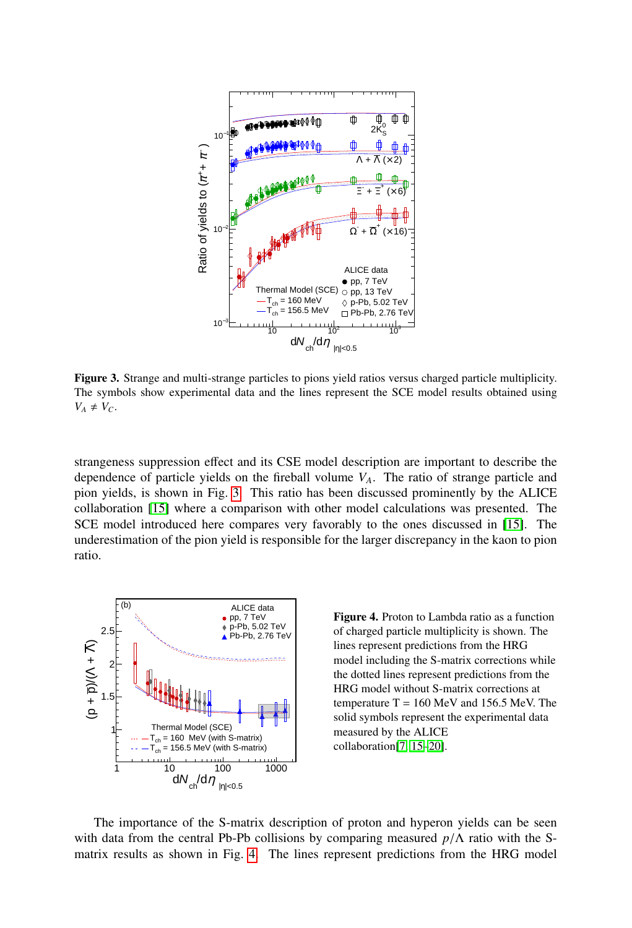

<span id="page-4-0"></span>Figure 3. Strange and multi-strange particles to pions yield ratios versus charged particle multiplicity. The symbols show experimental data and the lines represent the SCE model results obtained using  $V_A \neq V_C$ .

strangeness suppression effect and its CSE model description are important to describe the dependence of particle yields on the fireball volume *VA*. The ratio of strange particle and pion yields, is shown in Fig. [3.](#page-4-0) This ratio has been discussed prominently by the ALICE collaboration [\[15\]](#page-6-5) where a comparison with other model calculations was presented. The SCE model introduced here compares very favorably to the ones discussed in [\[15\]](#page-6-5). The underestimation of the pion yield is responsible for the larger discrepancy in the kaon to pion ratio.



<span id="page-4-1"></span>Figure 4. Proton to Lambda ratio as a function of charged particle multiplicity is shown. The lines represent predictions from the HRG model including the S-matrix corrections while the dotted lines represent predictions from the HRG model without S-matrix corrections at temperature  $T = 160$  MeV and 156.5 MeV. The solid symbols represent the experimental data measured by the ALICE collaboration[\[7,](#page-6-1) [15](#page-6-5)[–20\]](#page-6-9).

The importance of the S-matrix description of proton and hyperon yields can be seen with data from the central Pb-Pb collisions by comparing measured *<sup>p</sup>*/<sup>Λ</sup> ratio with the Smatrix results as shown in Fig. [4.](#page-4-1) The lines represent predictions from the HRG model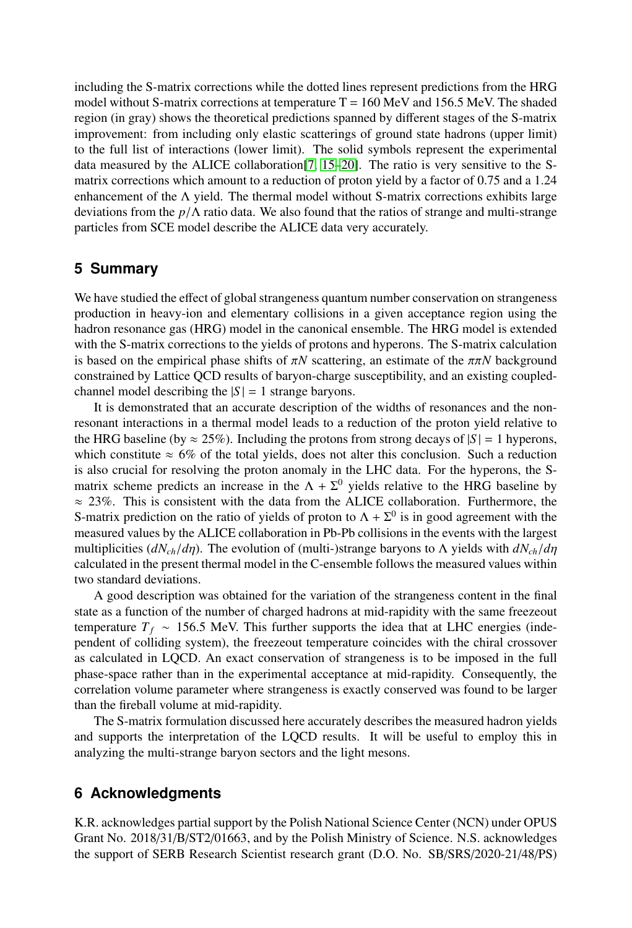including the S-matrix corrections while the dotted lines represent predictions from the HRG model without S-matrix corrections at temperature  $T = 160$  MeV and 156.5 MeV. The shaded region (in gray) shows the theoretical predictions spanned by different stages of the S-matrix improvement: from including only elastic scatterings of ground state hadrons (upper limit) to the full list of interactions (lower limit). The solid symbols represent the experimental data measured by the ALICE collaboration[\[7,](#page-6-1) [15–](#page-6-5)[20\]](#page-6-9). The ratio is very sensitive to the Smatrix corrections which amount to a reduction of proton yield by a factor of 0.75 and a 1.24 enhancement of the  $\Lambda$  yield. The thermal model without S-matrix corrections exhibits large deviations from the *<sup>p</sup>*/<sup>Λ</sup> ratio data. We also found that the ratios of strange and multi-strange particles from SCE model describe the ALICE data very accurately.

## **5 Summary**

We have studied the effect of global strangeness quantum number conservation on strangeness production in heavy-ion and elementary collisions in a given acceptance region using the hadron resonance gas (HRG) model in the canonical ensemble. The HRG model is extended with the S-matrix corrections to the yields of protons and hyperons. The S-matrix calculation is based on the empirical phase shifts of  $\pi N$  scattering, an estimate of the  $\pi \pi N$  background constrained by Lattice QCD results of baryon-charge susceptibility, and an existing coupledchannel model describing the  $|S| = 1$  strange baryons.

It is demonstrated that an accurate description of the widths of resonances and the nonresonant interactions in a thermal model leads to a reduction of the proton yield relative to the HRG baseline (by  $\approx 25\%$ ). Including the protons from strong decays of  $|S| = 1$  hyperons, which constitute  $\approx 6\%$  of the total yields, does not alter this conclusion. Such a reduction is also crucial for resolving the proton anomaly in the LHC data. For the hyperons, the Smatrix scheme predicts an increase in the  $\Lambda + \Sigma^0$  yields relative to the HRG baseline by  $\approx$  23%. This is consistent with the data from the ALICE collaboration. Furthermore, the S-matrix prediction on the ratio of yields of proton to  $\Lambda + \Sigma^0$  is in good agreement with the measured values by the ALICE collaboration in Pb-Pb collisions in the events with the largest multiplicities (*dNch*/*d*η). The evolution of (multi-)strange baryons to <sup>Λ</sup> yields with *dNch*/*d*η calculated in the present thermal model in the C-ensemble follows the measured values within two standard deviations.

A good description was obtained for the variation of the strangeness content in the final state as a function of the number of charged hadrons at mid-rapidity with the same freezeout temperature  $T_f \sim 156.5$  MeV. This further supports the idea that at LHC energies (independent of colliding system), the freezeout temperature coincides with the chiral crossover as calculated in LQCD. An exact conservation of strangeness is to be imposed in the full phase-space rather than in the experimental acceptance at mid-rapidity. Consequently, the correlation volume parameter where strangeness is exactly conserved was found to be larger than the fireball volume at mid-rapidity.

The S-matrix formulation discussed here accurately describes the measured hadron yields and supports the interpretation of the LQCD results. It will be useful to employ this in analyzing the multi-strange baryon sectors and the light mesons.

### **6 Acknowledgments**

K.R. acknowledges partial support by the Polish National Science Center (NCN) under OPUS Grant No. 2018/31/B/ST2/01663, and by the Polish Ministry of Science. N.S. acknowledges the support of SERB Research Scientist research grant (D.O. No. SB/SRS/2020-21/48/PS)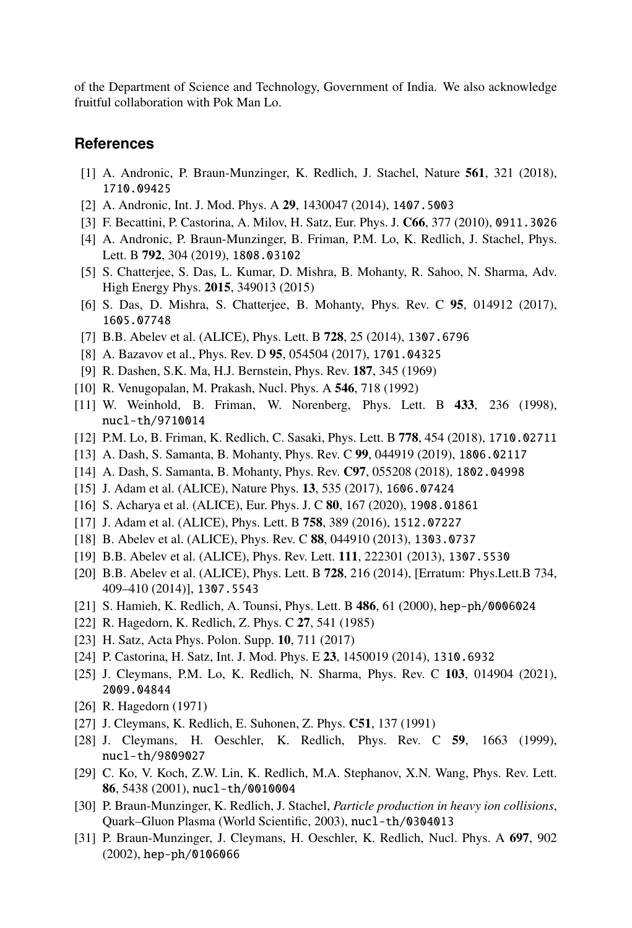of the Department of Science and Technology, Government of India. We also acknowledge fruitful collaboration with Pok Man Lo.

### **References**

- <span id="page-6-0"></span>[1] A. Andronic, P. Braun-Munzinger, K. Redlich, J. Stachel, Nature 561, 321 (2018), 1710.09425
- [2] A. Andronic, Int. J. Mod. Phys. A 29, 1430047 (2014), 1407.5003
- [3] F. Becattini, P. Castorina, A. Milov, H. Satz, Eur. Phys. J. C66, 377 (2010), 0911.3026
- <span id="page-6-19"></span>[4] A. Andronic, P. Braun-Munzinger, B. Friman, P.M. Lo, K. Redlich, J. Stachel, Phys. Lett. B 792, 304 (2019), 1808.03102
- [5] S. Chatterjee, S. Das, L. Kumar, D. Mishra, B. Mohanty, R. Sahoo, N. Sharma, Adv. High Energy Phys. 2015, 349013 (2015)
- [6] S. Das, D. Mishra, S. Chatterjee, B. Mohanty, Phys. Rev. C 95, 014912 (2017), 1605.07748
- <span id="page-6-1"></span>[7] B.B. Abelev et al. (ALICE), Phys. Lett. B 728, 25 (2014), 1307.6796
- <span id="page-6-2"></span>[8] A. Bazavov et al., Phys. Rev. D 95, 054504 (2017), 1701.04325
- <span id="page-6-3"></span>[9] R. Dashen, S.K. Ma, H.J. Bernstein, Phys. Rev. 187, 345 (1969)
- <span id="page-6-18"></span>[10] R. Venugopalan, M. Prakash, Nucl. Phys. A 546, 718 (1992)
- [11] W. Weinhold, B. Friman, W. Norenberg, Phys. Lett. B 433, 236 (1998), nucl-th/9710014
- [12] P.M. Lo, B. Friman, K. Redlich, C. Sasaki, Phys. Lett. B 778, 454 (2018), 1710.02711
- [13] A. Dash, S. Samanta, B. Mohanty, Phys. Rev. C 99, 044919 (2019), 1806.02117
- <span id="page-6-4"></span>[14] A. Dash, S. Samanta, B. Mohanty, Phys. Rev. C97, 055208 (2018), 1802.04998
- <span id="page-6-5"></span>[15] J. Adam et al. (ALICE), Nature Phys. 13, 535 (2017), 1606.07424
- <span id="page-6-6"></span>[16] S. Acharya et al. (ALICE), Eur. Phys. J. C 80, 167 (2020), 1908.01861
- <span id="page-6-7"></span>[17] J. Adam et al. (ALICE), Phys. Lett. B 758, 389 (2016), 1512.07227
- <span id="page-6-8"></span>[18] B. Abelev et al. (ALICE), Phys. Rev. C 88, 044910 (2013), 1303.0737
- [19] B.B. Abelev et al. (ALICE), Phys. Rev. Lett. 111, 222301 (2013), 1307.5530
- <span id="page-6-9"></span>[20] B.B. Abelev et al. (ALICE), Phys. Lett. B 728, 216 (2014), [Erratum: Phys.Lett.B 734, 409–410 (2014)], 1307.5543
- <span id="page-6-10"></span>[21] S. Hamieh, K. Redlich, A. Tounsi, Phys. Lett. B 486, 61 (2000), hep-ph/0006024
- <span id="page-6-13"></span>[22] R. Hagedorn, K. Redlich, Z. Phys. C 27, 541 (1985)
- [23] H. Satz, Acta Phys. Polon. Supp. **10**, 711 (2017)
- <span id="page-6-11"></span>[24] P. Castorina, H. Satz, Int. J. Mod. Phys. E 23, 1450019 (2014), 1310.6932
- <span id="page-6-12"></span>[25] J. Cleymans, P.M. Lo, K. Redlich, N. Sharma, Phys. Rev. C 103, 014904 (2021), 2009.04844
- <span id="page-6-14"></span>[26] R. Hagedorn (1971)
- <span id="page-6-16"></span>[27] J. Cleymans, K. Redlich, E. Suhonen, Z. Phys. **C51**, 137 (1991)
- [28] J. Cleymans, H. Oeschler, K. Redlich, Phys. Rev. C 59, 1663 (1999), nucl-th/9809027
- [29] C. Ko, V. Koch, Z.W. Lin, K. Redlich, M.A. Stephanov, X.N. Wang, Phys. Rev. Lett. 86, 5438 (2001), nucl-th/0010004
- <span id="page-6-15"></span>[30] P. Braun-Munzinger, K. Redlich, J. Stachel, *Particle production in heavy ion collisions*, Quark–Gluon Plasma (World Scientific, 2003), nucl-th/0304013
- <span id="page-6-17"></span>[31] P. Braun-Munzinger, J. Cleymans, H. Oeschler, K. Redlich, Nucl. Phys. A 697, 902 (2002), hep-ph/0106066